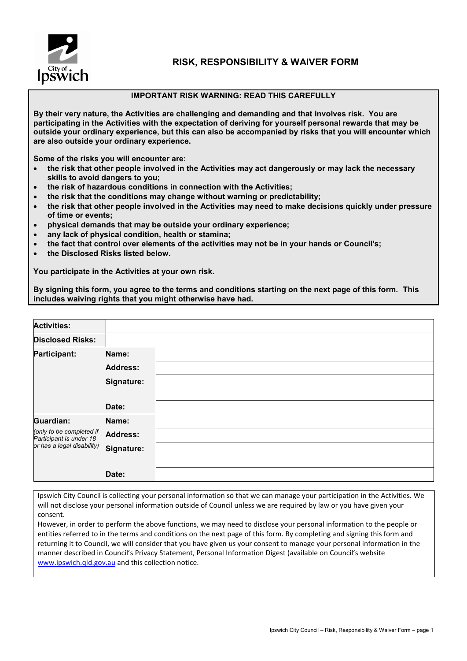

## **RISK, RESPONSIBILITY & WAIVER FORM**

## **IMPORTANT RISK WARNING: READ THIS CAREFULLY**

**By their very nature, the Activities are challenging and demanding and that involves risk. You are participating in the Activities with the expectation of deriving for yourself personal rewards that may be outside your ordinary experience, but this can also be accompanied by risks that you will encounter which are also outside your ordinary experience.**

**Some of the risks you will encounter are:**

- **the risk that other people involved in the Activities may act dangerously or may lack the necessary skills to avoid dangers to you;**
- **the risk of hazardous conditions in connection with the Activities;**
- **the risk that the conditions may change without warning or predictability;**
- **the risk that other people involved in the Activities may need to make decisions quickly under pressure of time or events;**
- **physical demands that may be outside your ordinary experience;**
- **any lack of physical condition, health or stamina;**
- **the fact that control over elements of the activities may not be in your hands or Council's;**
- **the Disclosed Risks listed below.**

**You participate in the Activities at your own risk.**

**By signing this form, you agree to the terms and conditions starting on the next page of this form. This includes waiving rights that you might otherwise have had.**

| <b>Activities:</b>                                                                |                 |  |
|-----------------------------------------------------------------------------------|-----------------|--|
| <b>Disclosed Risks:</b>                                                           |                 |  |
| Participant:                                                                      | Name:           |  |
|                                                                                   | <b>Address:</b> |  |
|                                                                                   | Signature:      |  |
|                                                                                   |                 |  |
|                                                                                   | Date:           |  |
| Guardian:                                                                         | Name:           |  |
| (only to be completed if<br>Participant is under 18<br>or has a legal disability) | <b>Address:</b> |  |
|                                                                                   | Signature:      |  |
|                                                                                   |                 |  |
|                                                                                   | Date:           |  |

Ipswich City Council is collecting your personal information so that we can manage your participation in the Activities. We will not disclose your personal information outside of Council unless we are required by law or you have given your consent.

However, in order to perform the above functions, we may need to disclose your personal information to the people or entities referred to in the terms and conditions on the next page of this form. By completing and signing this form and returning it to Council, we will consider that you have given us your consent to manage your personal information in the manner described in Council's Privacy Statement, Personal Information Digest (available on Council's website [www.ipswich.qld.gov.au](http://www.ipswich.qld.gov.au/) and this collection notice.